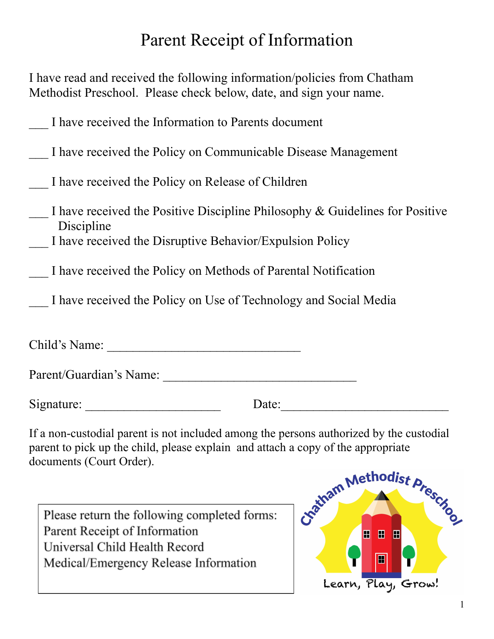# Parent Receipt of Information

I have read and received the following information/policies from Chatham Methodist Preschool. Please check below, date, and sign your name.

|  |  |  |  | I have received the Information to Parents document |
|--|--|--|--|-----------------------------------------------------|
|  |  |  |  |                                                     |

|  |  |  | I have received the Policy on Communicable Disease Management |  |
|--|--|--|---------------------------------------------------------------|--|
|  |  |  |                                                               |  |

\_\_\_ I have received the Policy on Release of Children

- $\blacksquare$  I have received the Positive Discipline Philosophy & Guidelines for Positive Discipline
- \_\_\_ I have received the Disruptive Behavior/Expulsion Policy
- \_\_\_ I have received the Policy on Methods of Parental Notification
	- I have received the Policy on Use of Technology and Social Media

Child's Name: \_\_\_\_\_\_\_\_\_\_\_\_\_\_\_\_\_\_\_\_\_\_\_\_\_\_\_\_\_\_

| Parent/Guardian's Name: |  |
|-------------------------|--|
|                         |  |

Signature:  $\Box$ 

If a non-custodial parent is not included among the persons authorized by the custodial parent to pick up the child, please explain and attach a copy of the appropriate documents (Court Order).

Please return the following completed forms: Parent Receipt of Information Universal Child Health Record Medical/Emergency Release Information

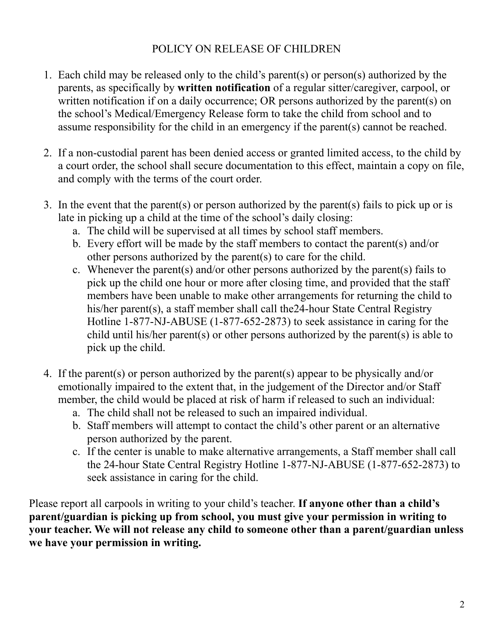#### POLICY ON RELEASE OF CHILDREN

- 1. Each child may be released only to the child's parent(s) or person(s) authorized by the parents, as specifically by **written notification** of a regular sitter/caregiver, carpool, or written notification if on a daily occurrence; OR persons authorized by the parent(s) on the school's Medical/Emergency Release form to take the child from school and to assume responsibility for the child in an emergency if the parent(s) cannot be reached.
- 2. If a non-custodial parent has been denied access or granted limited access, to the child by a court order, the school shall secure documentation to this effect, maintain a copy on file, and comply with the terms of the court order.
- 3. In the event that the parent(s) or person authorized by the parent(s) fails to pick up or is late in picking up a child at the time of the school's daily closing:
	- a. The child will be supervised at all times by school staff members.
	- b. Every effort will be made by the staff members to contact the parent(s) and/or other persons authorized by the parent(s) to care for the child.
	- c. Whenever the parent(s) and/or other persons authorized by the parent(s) fails to pick up the child one hour or more after closing time, and provided that the staff members have been unable to make other arrangements for returning the child to his/her parent(s), a staff member shall call the24-hour State Central Registry Hotline 1-877-NJ-ABUSE (1-877-652-2873) to seek assistance in caring for the child until his/her parent(s) or other persons authorized by the parent(s) is able to pick up the child.
- 4. If the parent(s) or person authorized by the parent(s) appear to be physically and/or emotionally impaired to the extent that, in the judgement of the Director and/or Staff member, the child would be placed at risk of harm if released to such an individual:
	- a. The child shall not be released to such an impaired individual.
	- b. Staff members will attempt to contact the child's other parent or an alternative person authorized by the parent.
	- c. If the center is unable to make alternative arrangements, a Staff member shall call the 24-hour State Central Registry Hotline 1-877-NJ-ABUSE (1-877-652-2873) to seek assistance in caring for the child.

Please report all carpools in writing to your child's teacher. **If anyone other than a child's parent/guardian is picking up from school, you must give your permission in writing to your teacher. We will not release any child to someone other than a parent/guardian unless we have your permission in writing.**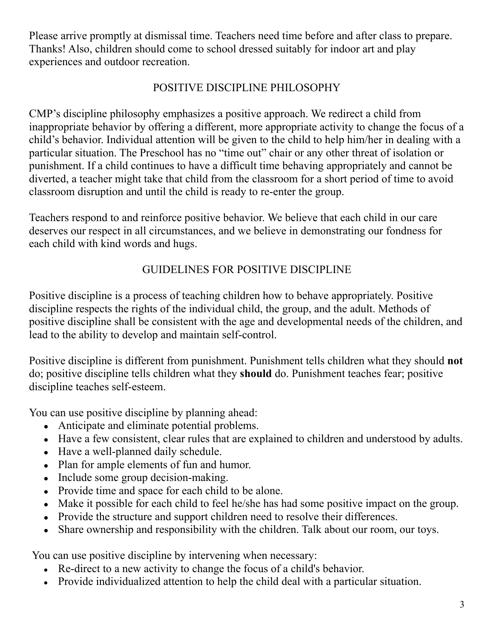Please arrive promptly at dismissal time. Teachers need time before and after class to prepare. Thanks! Also, children should come to school dressed suitably for indoor art and play experiences and outdoor recreation.

## POSITIVE DISCIPLINE PHILOSOPHY

CMP's discipline philosophy emphasizes a positive approach. We redirect a child from inappropriate behavior by offering a different, more appropriate activity to change the focus of a child's behavior. Individual attention will be given to the child to help him/her in dealing with a particular situation. The Preschool has no "time out" chair or any other threat of isolation or punishment. If a child continues to have a difficult time behaving appropriately and cannot be diverted, a teacher might take that child from the classroom for a short period of time to avoid classroom disruption and until the child is ready to re-enter the group.

Teachers respond to and reinforce positive behavior. We believe that each child in our care deserves our respect in all circumstances, and we believe in demonstrating our fondness for each child with kind words and hugs.

## GUIDELINES FOR POSITIVE DISCIPLINE

Positive discipline is a process of teaching children how to behave appropriately. Positive discipline respects the rights of the individual child, the group, and the adult. Methods of positive discipline shall be consistent with the age and developmental needs of the children, and lead to the ability to develop and maintain self-control.

Positive discipline is different from punishment. Punishment tells children what they should **not** do; positive discipline tells children what they **should** do. Punishment teaches fear; positive discipline teaches self-esteem.

You can use positive discipline by planning ahead:

- Anticipate and eliminate potential problems.
- Have a few consistent, clear rules that are explained to children and understood by adults.
- Have a well-planned daily schedule.
- Plan for ample elements of fun and humor.
- Include some group decision-making.
- Provide time and space for each child to be alone.
- Make it possible for each child to feel he/she has had some positive impact on the group.
- Provide the structure and support children need to resolve their differences.
- Share ownership and responsibility with the children. Talk about our room, our toys.

You can use positive discipline by intervening when necessary:

- Re-direct to a new activity to change the focus of a child's behavior.
- Provide individualized attention to help the child deal with a particular situation.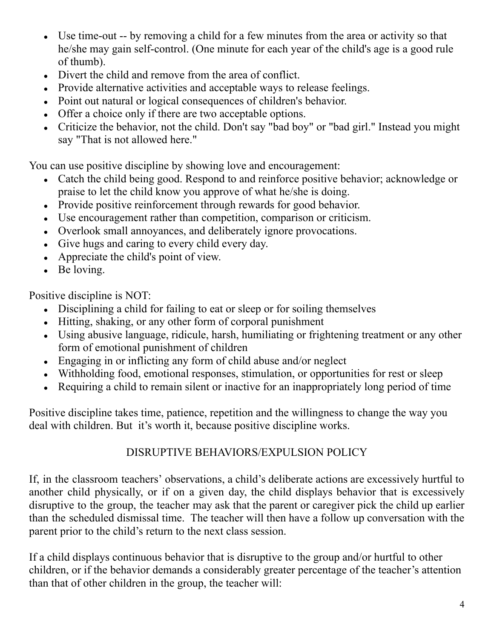- Use time-out -- by removing a child for a few minutes from the area or activity so that he/she may gain self-control. (One minute for each year of the child's age is a good rule of thumb).
- Divert the child and remove from the area of conflict.
- Provide alternative activities and acceptable ways to release feelings.
- Point out natural or logical consequences of children's behavior.
- Offer a choice only if there are two acceptable options.
- Criticize the behavior, not the child. Don't say "bad boy" or "bad girl." Instead you might say "That is not allowed here."

You can use positive discipline by showing love and encouragement:

- Catch the child being good. Respond to and reinforce positive behavior; acknowledge or praise to let the child know you approve of what he/she is doing.
- Provide positive reinforcement through rewards for good behavior.
- Use encouragement rather than competition, comparison or criticism.
- Overlook small annoyances, and deliberately ignore provocations.
- Give hugs and caring to every child every day.
- Appreciate the child's point of view.
- $\bullet$  Be loving.

Positive discipline is NOT:

- Disciplining a child for failing to eat or sleep or for soiling themselves
- Hitting, shaking, or any other form of corporal punishment
- Using abusive language, ridicule, harsh, humiliating or frightening treatment or any other form of emotional punishment of children
- $\bullet$  Engaging in or inflicting any form of child abuse and/or neglect
- Withholding food, emotional responses, stimulation, or opportunities for rest or sleep
- Requiring a child to remain silent or inactive for an inappropriately long period of time

Positive discipline takes time, patience, repetition and the willingness to change the way you deal with children. But it's worth it, because positive discipline works.

#### DISRUPTIVE BEHAVIORS/EXPULSION POLICY

If, in the classroom teachers' observations, a child's deliberate actions are excessively hurtful to another child physically, or if on a given day, the child displays behavior that is excessively disruptive to the group, the teacher may ask that the parent or caregiver pick the child up earlier than the scheduled dismissal time. The teacher will then have a follow up conversation with the parent prior to the child's return to the next class session.

If a child displays continuous behavior that is disruptive to the group and/or hurtful to other children, or if the behavior demands a considerably greater percentage of the teacher's attention than that of other children in the group, the teacher will: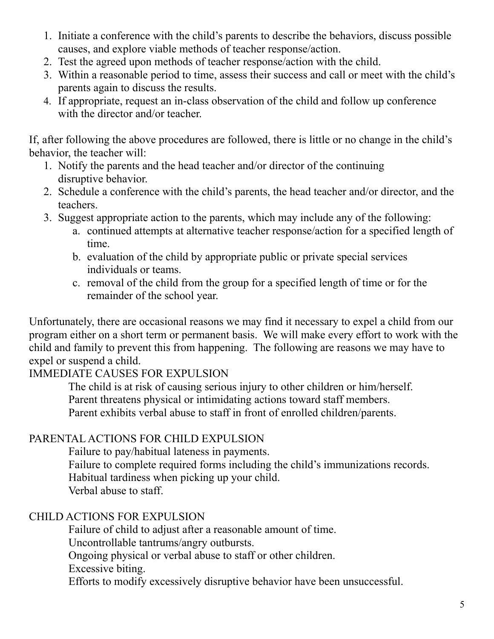- 1. Initiate a conference with the child's parents to describe the behaviors, discuss possible causes, and explore viable methods of teacher response/action.
- 2. Test the agreed upon methods of teacher response/action with the child.
- 3. Within a reasonable period to time, assess their success and call or meet with the child's parents again to discuss the results.
- 4. If appropriate, request an in-class observation of the child and follow up conference with the director and/or teacher.

If, after following the above procedures are followed, there is little or no change in the child's behavior, the teacher will:

- 1. Notify the parents and the head teacher and/or director of the continuing disruptive behavior.
- 2. Schedule a conference with the child's parents, the head teacher and/or director, and the teachers.
- 3. Suggest appropriate action to the parents, which may include any of the following:
	- a. continued attempts at alternative teacher response/action for a specified length of time.
	- b. evaluation of the child by appropriate public or private special services individuals or teams.
	- c. removal of the child from the group for a specified length of time or for the remainder of the school year.

Unfortunately, there are occasional reasons we may find it necessary to expel a child from our program either on a short term or permanent basis. We will make every effort to work with the child and family to prevent this from happening. The following are reasons we may have to expel or suspend a child.

#### IMMEDIATE CAUSES FOR EXPULSION

The child is at risk of causing serious injury to other children or him/herself. Parent threatens physical or intimidating actions toward staff members. Parent exhibits verbal abuse to staff in front of enrolled children/parents.

## PARENTAL ACTIONS FOR CHILD EXPULSION

Failure to pay/habitual lateness in payments. Failure to complete required forms including the child's immunizations records. Habitual tardiness when picking up your child. Verbal abuse to staff.

#### CHILD ACTIONS FOR EXPULSION

Failure of child to adjust after a reasonable amount of time. Uncontrollable tantrums/angry outbursts. Ongoing physical or verbal abuse to staff or other children. Excessive biting. Efforts to modify excessively disruptive behavior have been unsuccessful.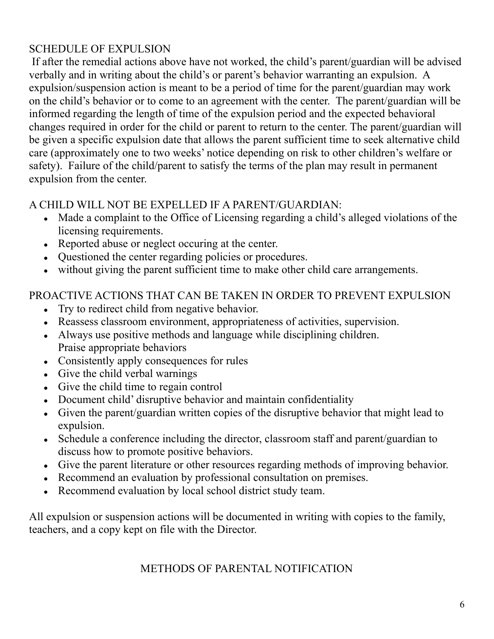## SCHEDULE OF EXPULSION

If after the remedial actions above have not worked, the child's parent/guardian will be advised verbally and in writing about the child's or parent's behavior warranting an expulsion. A expulsion/suspension action is meant to be a period of time for the parent/guardian may work on the child's behavior or to come to an agreement with the center. The parent/guardian will be informed regarding the length of time of the expulsion period and the expected behavioral changes required in order for the child or parent to return to the center. The parent/guardian will be given a specific expulsion date that allows the parent sufficient time to seek alternative child care (approximately one to two weeks' notice depending on risk to other children's welfare or safety). Failure of the child/parent to satisfy the terms of the plan may result in permanent expulsion from the center.

#### A CHILD WILL NOT BE EXPELLED IF A PARENT/GUARDIAN:

- Made a complaint to the Office of Licensing regarding a child's alleged violations of the licensing requirements.
- Reported abuse or neglect occuring at the center.
- Questioned the center regarding policies or procedures.
- without giving the parent sufficient time to make other child care arrangements.

## PROACTIVE ACTIONS THAT CAN BE TAKEN IN ORDER TO PREVENT EXPULSION

- Try to redirect child from negative behavior.
- Reassess classroom environment, appropriateness of activities, supervision.
- Always use positive methods and language while disciplining children. Praise appropriate behaviors
- Consistently apply consequences for rules
- Give the child verbal warnings
- Give the child time to regain control
- Document child' disruptive behavior and maintain confidentiality
- Given the parent/guardian written copies of the disruptive behavior that might lead to expulsion.
- Schedule a conference including the director, classroom staff and parent/guardian to discuss how to promote positive behaviors.
- Give the parent literature or other resources regarding methods of improving behavior.
- Recommend an evaluation by professional consultation on premises.
- Recommend evaluation by local school district study team.

All expulsion or suspension actions will be documented in writing with copies to the family, teachers, and a copy kept on file with the Director.

#### METHODS OF PARENTAL NOTIFICATION